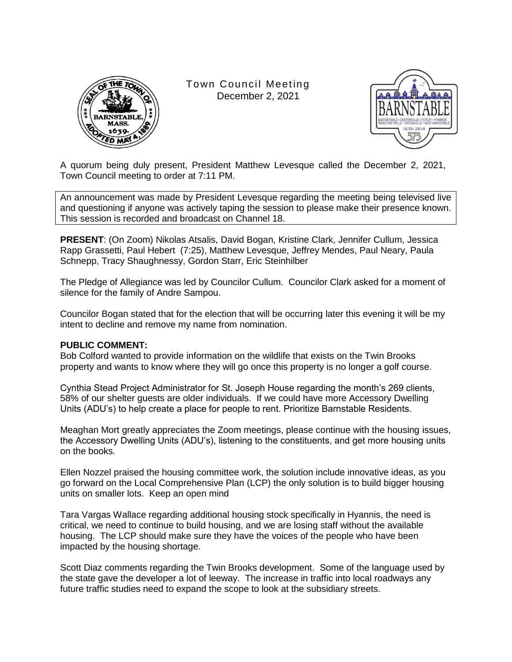

Town Council Meeting December 2, 2021



A quorum being duly present, President Matthew Levesque called the December 2, 2021, Town Council meeting to order at 7:11 PM.

An announcement was made by President Levesque regarding the meeting being televised live and questioning if anyone was actively taping the session to please make their presence known. This session is recorded and broadcast on Channel 18.

**PRESENT**: (On Zoom) Nikolas Atsalis, David Bogan, Kristine Clark, Jennifer Cullum, Jessica Rapp Grassetti, Paul Hebert (7:25), Matthew Levesque, Jeffrey Mendes, Paul Neary, Paula Schnepp, Tracy Shaughnessy, Gordon Starr, Eric Steinhilber

The Pledge of Allegiance was led by Councilor Cullum. Councilor Clark asked for a moment of silence for the family of Andre Sampou.

Councilor Bogan stated that for the election that will be occurring later this evening it will be my intent to decline and remove my name from nomination.

### **PUBLIC COMMENT:**

Bob Colford wanted to provide information on the wildlife that exists on the Twin Brooks property and wants to know where they will go once this property is no longer a golf course.

Cynthia Stead Project Administrator for St. Joseph House regarding the month's 269 clients, 58% of our shelter guests are older individuals. If we could have more Accessory Dwelling Units (ADU's) to help create a place for people to rent. Prioritize Barnstable Residents.

Meaghan Mort greatly appreciates the Zoom meetings, please continue with the housing issues, the Accessory Dwelling Units (ADU's), listening to the constituents, and get more housing units on the books.

Ellen Nozzel praised the housing committee work, the solution include innovative ideas, as you go forward on the Local Comprehensive Plan (LCP) the only solution is to build bigger housing units on smaller lots. Keep an open mind

Tara Vargas Wallace regarding additional housing stock specifically in Hyannis, the need is critical, we need to continue to build housing, and we are losing staff without the available housing. The LCP should make sure they have the voices of the people who have been impacted by the housing shortage.

Scott Diaz comments regarding the Twin Brooks development. Some of the language used by the state gave the developer a lot of leeway. The increase in traffic into local roadways any future traffic studies need to expand the scope to look at the subsidiary streets.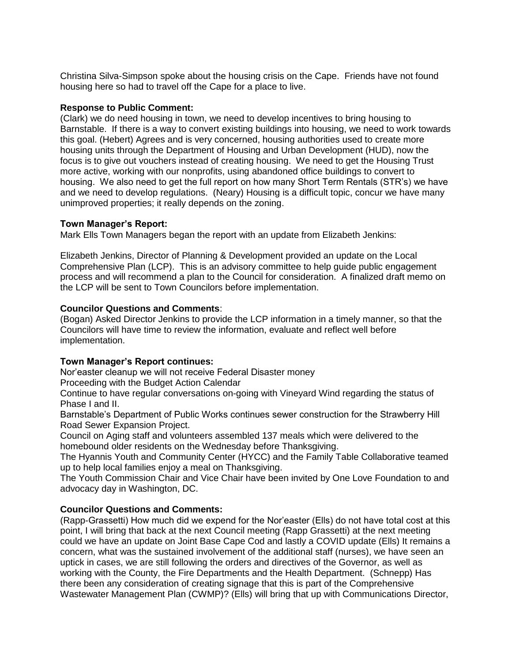Christina Silva-Simpson spoke about the housing crisis on the Cape. Friends have not found housing here so had to travel off the Cape for a place to live.

### **Response to Public Comment:**

(Clark) we do need housing in town, we need to develop incentives to bring housing to Barnstable. If there is a way to convert existing buildings into housing, we need to work towards this goal. (Hebert) Agrees and is very concerned, housing authorities used to create more housing units through the Department of Housing and Urban Development (HUD), now the focus is to give out vouchers instead of creating housing. We need to get the Housing Trust more active, working with our nonprofits, using abandoned office buildings to convert to housing. We also need to get the full report on how many Short Term Rentals (STR's) we have and we need to develop regulations. (Neary) Housing is a difficult topic, concur we have many unimproved properties; it really depends on the zoning.

## **Town Manager's Report:**

Mark Ells Town Managers began the report with an update from Elizabeth Jenkins:

Elizabeth Jenkins, Director of Planning & Development provided an update on the Local Comprehensive Plan (LCP). This is an advisory committee to help guide public engagement process and will recommend a plan to the Council for consideration. A finalized draft memo on the LCP will be sent to Town Councilors before implementation.

## **Councilor Questions and Comments**:

(Bogan) Asked Director Jenkins to provide the LCP information in a timely manner, so that the Councilors will have time to review the information, evaluate and reflect well before implementation.

# **Town Manager's Report continues:**

Nor'easter cleanup we will not receive Federal Disaster money Proceeding with the Budget Action Calendar

Continue to have regular conversations on-going with Vineyard Wind regarding the status of Phase I and II.

Barnstable's Department of Public Works continues sewer construction for the Strawberry Hill Road Sewer Expansion Project.

Council on Aging staff and volunteers assembled 137 meals which were delivered to the homebound older residents on the Wednesday before Thanksgiving.

The Hyannis Youth and Community Center (HYCC) and the Family Table Collaborative teamed up to help local families enjoy a meal on Thanksgiving.

The Youth Commission Chair and Vice Chair have been invited by One Love Foundation to and advocacy day in Washington, DC.

# **Councilor Questions and Comments:**

(Rapp-Grassetti) How much did we expend for the Nor'easter (Ells) do not have total cost at this point, I will bring that back at the next Council meeting (Rapp Grassetti) at the next meeting could we have an update on Joint Base Cape Cod and lastly a COVID update (Ells) It remains a concern, what was the sustained involvement of the additional staff (nurses), we have seen an uptick in cases, we are still following the orders and directives of the Governor, as well as working with the County, the Fire Departments and the Health Department. (Schnepp) Has there been any consideration of creating signage that this is part of the Comprehensive Wastewater Management Plan (CWMP)? (Ells) will bring that up with Communications Director,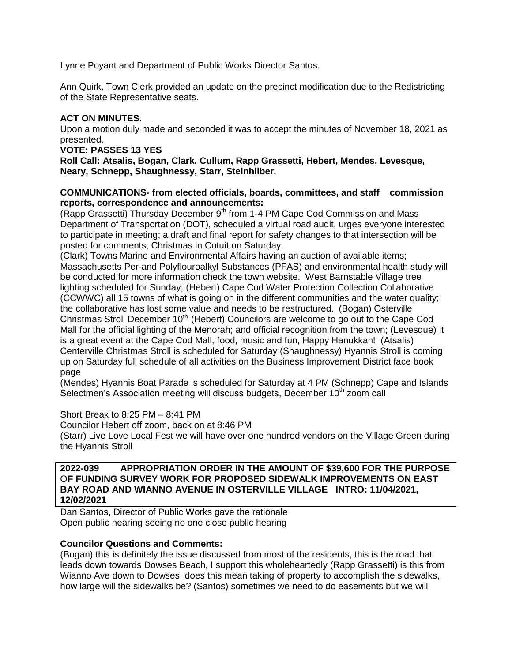Lynne Poyant and Department of Public Works Director Santos.

Ann Quirk, Town Clerk provided an update on the precinct modification due to the Redistricting of the State Representative seats.

# **ACT ON MINUTES**:

Upon a motion duly made and seconded it was to accept the minutes of November 18, 2021 as presented.

### **VOTE: PASSES 13 YES**

**Roll Call: Atsalis, Bogan, Clark, Cullum, Rapp Grassetti, Hebert, Mendes, Levesque, Neary, Schnepp, Shaughnessy, Starr, Steinhilber.**

### **COMMUNICATIONS- from elected officials, boards, committees, and staff commission reports, correspondence and announcements:**

(Rapp Grassetti) Thursday December  $9<sup>th</sup>$  from 1-4 PM Cape Cod Commission and Mass Department of Transportation (DOT), scheduled a virtual road audit, urges everyone interested to participate in meeting; a draft and final report for safety changes to that intersection will be posted for comments; Christmas in Cotuit on Saturday.

(Clark) Towns Marine and Environmental Affairs having an auction of available items; Massachusetts Per-and Polyflouroalkyl Substances (PFAS) and environmental health study will be conducted for more information check the town website. West Barnstable Village tree lighting scheduled for Sunday; (Hebert) Cape Cod Water Protection Collection Collaborative (CCWWC) all 15 towns of what is going on in the different communities and the water quality; the collaborative has lost some value and needs to be restructured. (Bogan) Osterville Christmas Stroll December  $10<sup>th</sup>$  (Hebert) Councilors are welcome to go out to the Cape Cod Mall for the official lighting of the Menorah; and official recognition from the town; (Levesque) It is a great event at the Cape Cod Mall, food, music and fun, Happy Hanukkah! (Atsalis) Centerville Christmas Stroll is scheduled for Saturday (Shaughnessy) Hyannis Stroll is coming up on Saturday full schedule of all activities on the Business Improvement District face book page

(Mendes) Hyannis Boat Parade is scheduled for Saturday at 4 PM (Schnepp) Cape and Islands Selectmen's Association meeting will discuss budgets, December 10<sup>th</sup> zoom call

Short Break to 8:25 PM – 8:41 PM Councilor Hebert off zoom, back on at 8:46 PM (Starr) Live Love Local Fest we will have over one hundred vendors on the Village Green during the Hyannis Stroll

**2022-039 APPROPRIATION ORDER IN THE AMOUNT OF \$39,600 FOR THE PURPOSE**  O**F FUNDING SURVEY WORK FOR PROPOSED SIDEWALK IMPROVEMENTS ON EAST BAY ROAD AND WIANNO AVENUE IN OSTERVILLE VILLAGE INTRO: 11/04/2021, 12/02/2021**

Dan Santos, Director of Public Works gave the rationale Open public hearing seeing no one close public hearing

# **Councilor Questions and Comments:**

(Bogan) this is definitely the issue discussed from most of the residents, this is the road that leads down towards Dowses Beach, I support this wholeheartedly (Rapp Grassetti) is this from Wianno Ave down to Dowses, does this mean taking of property to accomplish the sidewalks, how large will the sidewalks be? (Santos) sometimes we need to do easements but we will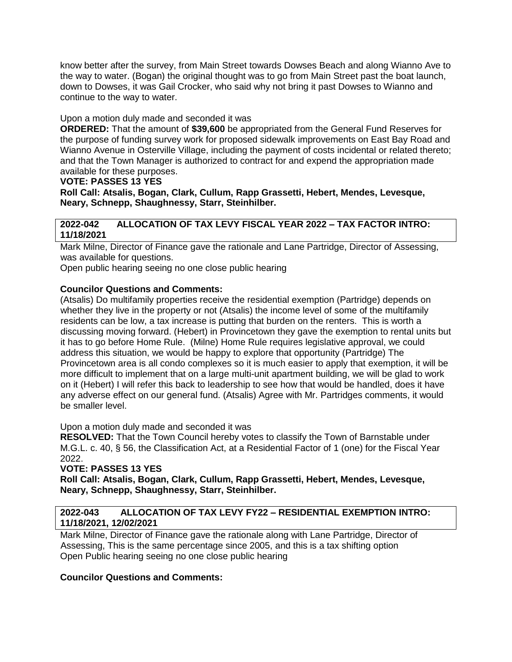know better after the survey, from Main Street towards Dowses Beach and along Wianno Ave to the way to water. (Bogan) the original thought was to go from Main Street past the boat launch, down to Dowses, it was Gail Crocker, who said why not bring it past Dowses to Wianno and continue to the way to water.

## Upon a motion duly made and seconded it was

**ORDERED:** That the amount of **\$39,600** be appropriated from the General Fund Reserves for the purpose of funding survey work for proposed sidewalk improvements on East Bay Road and Wianno Avenue in Osterville Village, including the payment of costs incidental or related thereto; and that the Town Manager is authorized to contract for and expend the appropriation made available for these purposes.

## **VOTE: PASSES 13 YES**

**Roll Call: Atsalis, Bogan, Clark, Cullum, Rapp Grassetti, Hebert, Mendes, Levesque, Neary, Schnepp, Shaughnessy, Starr, Steinhilber.**

## **2022-042 ALLOCATION OF TAX LEVY FISCAL YEAR 2022 – TAX FACTOR INTRO: 11/18/2021**

Mark Milne, Director of Finance gave the rationale and Lane Partridge, Director of Assessing, was available for questions.

Open public hearing seeing no one close public hearing

## **Councilor Questions and Comments:**

(Atsalis) Do multifamily properties receive the residential exemption (Partridge) depends on whether they live in the property or not (Atsalis) the income level of some of the multifamily residents can be low, a tax increase is putting that burden on the renters. This is worth a discussing moving forward. (Hebert) in Provincetown they gave the exemption to rental units but it has to go before Home Rule. (Milne) Home Rule requires legislative approval, we could address this situation, we would be happy to explore that opportunity (Partridge) The Provincetown area is all condo complexes so it is much easier to apply that exemption, it will be more difficult to implement that on a large multi-unit apartment building, we will be glad to work on it (Hebert) I will refer this back to leadership to see how that would be handled, does it have any adverse effect on our general fund. (Atsalis) Agree with Mr. Partridges comments, it would be smaller level.

### Upon a motion duly made and seconded it was

**RESOLVED:** That the Town Council hereby votes to classify the Town of Barnstable under M.G.L. c. 40, § 56, the Classification Act, at a Residential Factor of 1 (one) for the Fiscal Year 2022.

# **VOTE: PASSES 13 YES**

**Roll Call: Atsalis, Bogan, Clark, Cullum, Rapp Grassetti, Hebert, Mendes, Levesque, Neary, Schnepp, Shaughnessy, Starr, Steinhilber.**

## **2022-043 ALLOCATION OF TAX LEVY FY22 – RESIDENTIAL EXEMPTION INTRO: 11/18/2021, 12/02/2021**

Mark Milne, Director of Finance gave the rationale along with Lane Partridge, Director of Assessing, This is the same percentage since 2005, and this is a tax shifting option Open Public hearing seeing no one close public hearing

# **Councilor Questions and Comments:**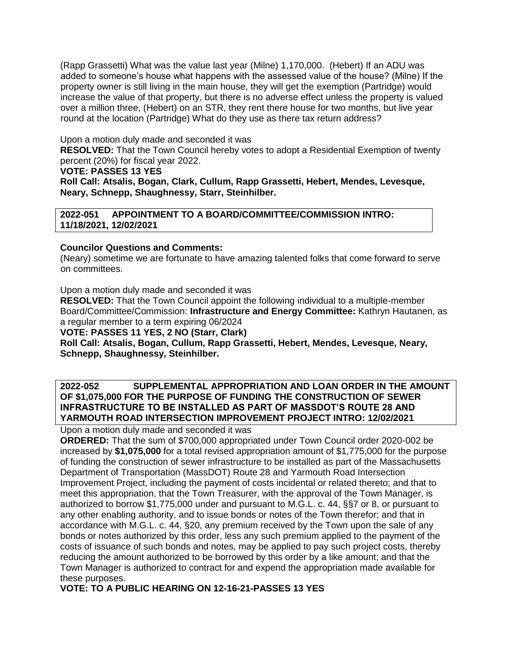(Rapp Grassetti) What was the value last year (Milne) 1,170,000. (Hebert) If an ADU was added to someone's house what happens with the assessed value of the house? (Milne) If the property owner is still living in the main house, they will get the exemption (Partridge) would increase the value of that property, but there is no adverse effect unless the property is valued over a million three, (Hebert) on an STR, they rent there house for two months, but live year round at the location (Partridge) What do they use as there tax return address?

Upon a motion duly made and seconded it was

**RESOLVED:** That the Town Council hereby votes to adopt a Residential Exemption of twenty percent (20%) for fiscal year 2022.

## **VOTE: PASSES 13 YES**

**Roll Call: Atsalis, Bogan, Clark, Cullum, Rapp Grassetti, Hebert, Mendes, Levesque, Neary, Schnepp, Shaughnessy, Starr, Steinhilber.**

**2022-051 APPOINTMENT TO A BOARD/COMMITTEE/COMMISSION INTRO: 11/18/2021, 12/02/2021**

# **Councilor Questions and Comments:**

(Neary) sometime we are fortunate to have amazing talented folks that come forward to serve on committees.

Upon a motion duly made and seconded it was

**RESOLVED:** That the Town Council appoint the following individual to a multiple-member Board/Committee/Commission: **Infrastructure and Energy Committee:** Kathryn Hautanen, as a regular member to a term expiring 06/2024

**VOTE: PASSES 11 YES, 2 NO (Starr, Clark)**

**Roll Call: Atsalis, Bogan, Cullum, Rapp Grassetti, Hebert, Mendes, Levesque, Neary, Schnepp, Shaughnessy, Steinhilber.**

## **2022-052 SUPPLEMENTAL APPROPRIATION AND LOAN ORDER IN THE AMOUNT OF \$1,075,000 FOR THE PURPOSE OF FUNDING THE CONSTRUCTION OF SEWER INFRASTRUCTURE TO BE INSTALLED AS PART OF MASSDOT'S ROUTE 28 AND YARMOUTH ROAD INTERSECTION IMPROVEMENT PROJECT INTRO: 12/02/2021**

Upon a motion duly made and seconded it was

**ORDERED:** That the sum of \$700,000 appropriated under Town Council order 2020-002 be increased by **\$1,075,000** for a total revised appropriation amount of \$1,775,000 for the purpose of funding the construction of sewer infrastructure to be installed as part of the Massachusetts Department of Transportation (MassDOT) Route 28 and Yarmouth Road Intersection Improvement Project, including the payment of costs incidental or related thereto; and that to meet this appropriation, that the Town Treasurer, with the approval of the Town Manager, is authorized to borrow \$1,775,000 under and pursuant to M.G.L. c. 44, §§7 or 8, or pursuant to any other enabling authority, and to issue bonds or notes of the Town therefor; and that in accordance with M.G.L. c. 44, §20, any premium received by the Town upon the sale of any bonds or notes authorized by this order, less any such premium applied to the payment of the costs of issuance of such bonds and notes, may be applied to pay such project costs, thereby reducing the amount authorized to be borrowed by this order by a like amount; and that the Town Manager is authorized to contract for and expend the appropriation made available for these purposes.

**VOTE: TO A PUBLIC HEARING ON 12-16-21-PASSES 13 YES**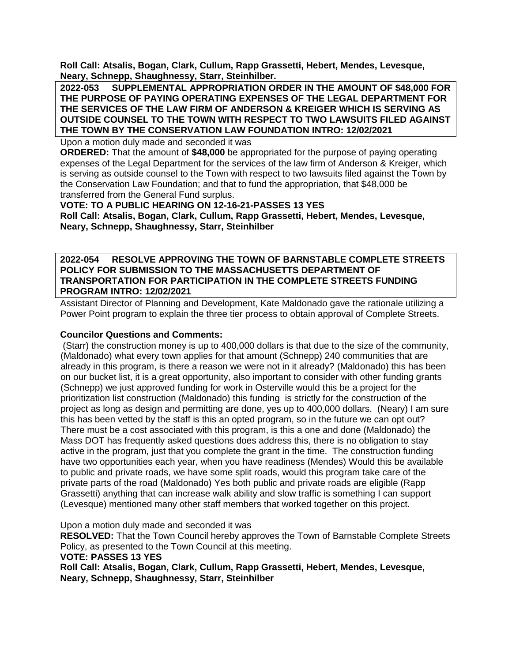**Roll Call: Atsalis, Bogan, Clark, Cullum, Rapp Grassetti, Hebert, Mendes, Levesque, Neary, Schnepp, Shaughnessy, Starr, Steinhilber.**

**2022-053 SUPPLEMENTAL APPROPRIATION ORDER IN THE AMOUNT OF \$48,000 FOR THE PURPOSE OF PAYING OPERATING EXPENSES OF THE LEGAL DEPARTMENT FOR THE SERVICES OF THE LAW FIRM OF ANDERSON & KREIGER WHICH IS SERVING AS OUTSIDE COUNSEL TO THE TOWN WITH RESPECT TO TWO LAWSUITS FILED AGAINST THE TOWN BY THE CONSERVATION LAW FOUNDATION INTRO: 12/02/2021**

Upon a motion duly made and seconded it was

**ORDERED:** That the amount of **\$48,000** be appropriated for the purpose of paying operating expenses of the Legal Department for the services of the law firm of Anderson & Kreiger, which is serving as outside counsel to the Town with respect to two lawsuits filed against the Town by the Conservation Law Foundation; and that to fund the appropriation, that \$48,000 be transferred from the General Fund surplus.

**VOTE: TO A PUBLIC HEARING ON 12-16-21-PASSES 13 YES Roll Call: Atsalis, Bogan, Clark, Cullum, Rapp Grassetti, Hebert, Mendes, Levesque, Neary, Schnepp, Shaughnessy, Starr, Steinhilber**

**2022-054 RESOLVE APPROVING THE TOWN OF BARNSTABLE COMPLETE STREETS POLICY FOR SUBMISSION TO THE MASSACHUSETTS DEPARTMENT OF TRANSPORTATION FOR PARTICIPATION IN THE COMPLETE STREETS FUNDING PROGRAM INTRO: 12/02/2021**

Assistant Director of Planning and Development, Kate Maldonado gave the rationale utilizing a Power Point program to explain the three tier process to obtain approval of Complete Streets.

### **Councilor Questions and Comments:**

(Starr) the construction money is up to 400,000 dollars is that due to the size of the community, (Maldonado) what every town applies for that amount (Schnepp) 240 communities that are already in this program, is there a reason we were not in it already? (Maldonado) this has been on our bucket list, it is a great opportunity, also important to consider with other funding grants (Schnepp) we just approved funding for work in Osterville would this be a project for the prioritization list construction (Maldonado) this funding is strictly for the construction of the project as long as design and permitting are done, yes up to 400,000 dollars. (Neary) I am sure this has been vetted by the staff is this an opted program, so in the future we can opt out? There must be a cost associated with this program, is this a one and done (Maldonado) the Mass DOT has frequently asked questions does address this, there is no obligation to stay active in the program, just that you complete the grant in the time. The construction funding have two opportunities each year, when you have readiness (Mendes) Would this be available to public and private roads, we have some split roads, would this program take care of the private parts of the road (Maldonado) Yes both public and private roads are eligible (Rapp Grassetti) anything that can increase walk ability and slow traffic is something I can support (Levesque) mentioned many other staff members that worked together on this project.

Upon a motion duly made and seconded it was

**RESOLVED:** That the Town Council hereby approves the Town of Barnstable Complete Streets Policy, as presented to the Town Council at this meeting.

**VOTE: PASSES 13 YES**

**Roll Call: Atsalis, Bogan, Clark, Cullum, Rapp Grassetti, Hebert, Mendes, Levesque, Neary, Schnepp, Shaughnessy, Starr, Steinhilber**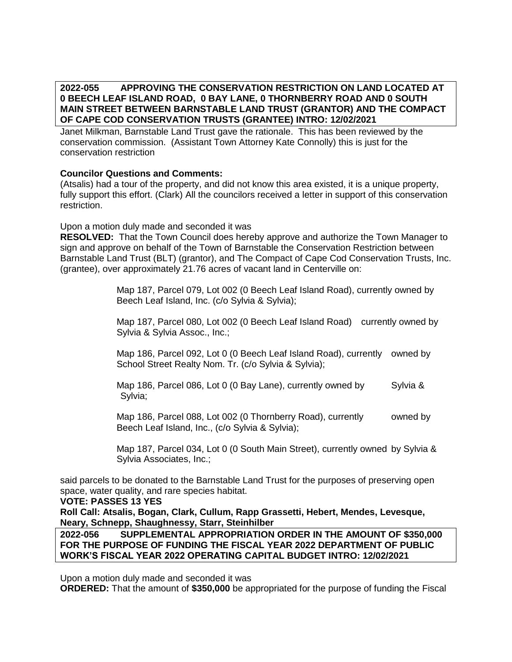**2022-055 APPROVING THE CONSERVATION RESTRICTION ON LAND LOCATED AT 0 BEECH LEAF ISLAND ROAD, 0 BAY LANE, 0 THORNBERRY ROAD AND 0 SOUTH MAIN STREET BETWEEN BARNSTABLE LAND TRUST (GRANTOR) AND THE COMPACT OF CAPE COD CONSERVATION TRUSTS (GRANTEE) INTRO: 12/02/2021**

Janet Milkman, Barnstable Land Trust gave the rationale. This has been reviewed by the conservation commission. (Assistant Town Attorney Kate Connolly) this is just for the conservation restriction

## **Councilor Questions and Comments:**

(Atsalis) had a tour of the property, and did not know this area existed, it is a unique property, fully support this effort. (Clark) All the councilors received a letter in support of this conservation restriction.

Upon a motion duly made and seconded it was

**RESOLVED:** That the Town Council does hereby approve and authorize the Town Manager to sign and approve on behalf of the Town of Barnstable the Conservation Restriction between Barnstable Land Trust (BLT) (grantor), and The Compact of Cape Cod Conservation Trusts, Inc. (grantee), over approximately 21.76 acres of vacant land in Centerville on:

> Map 187, Parcel 079, Lot 002 (0 Beech Leaf Island Road), currently owned by Beech Leaf Island, Inc. (c/o Sylvia & Sylvia);

Map 187, Parcel 080, Lot 002 (0 Beech Leaf Island Road) currently owned by Sylvia & Sylvia Assoc., Inc.;

Map 186, Parcel 092, Lot 0 (0 Beech Leaf Island Road), currently owned by School Street Realty Nom. Tr. (c/o Sylvia & Sylvia);

Map 186, Parcel 086, Lot 0 (0 Bay Lane), currently owned by Sylvia & Sylvia;

Map 186, Parcel 088, Lot 002 (0 Thornberry Road), currently owned by Beech Leaf Island, Inc., (c/o Sylvia & Sylvia);

Map 187, Parcel 034, Lot 0 (0 South Main Street), currently owned by Sylvia & Sylvia Associates, Inc.;

said parcels to be donated to the Barnstable Land Trust for the purposes of preserving open space, water quality, and rare species habitat.

### **VOTE: PASSES 13 YES**

**Roll Call: Atsalis, Bogan, Clark, Cullum, Rapp Grassetti, Hebert, Mendes, Levesque, Neary, Schnepp, Shaughnessy, Starr, Steinhilber**

**2022-056 SUPPLEMENTAL APPROPRIATION ORDER IN THE AMOUNT OF \$350,000 FOR THE PURPOSE OF FUNDING THE FISCAL YEAR 2022 DEPARTMENT OF PUBLIC WORK'S FISCAL YEAR 2022 OPERATING CAPITAL BUDGET INTRO: 12/02/2021**

Upon a motion duly made and seconded it was

**ORDERED:** That the amount of **\$350,000** be appropriated for the purpose of funding the Fiscal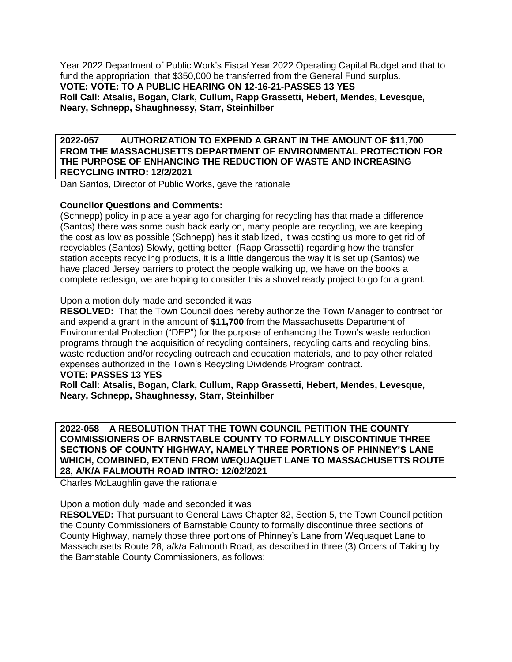Year 2022 Department of Public Work's Fiscal Year 2022 Operating Capital Budget and that to fund the appropriation, that \$350,000 be transferred from the General Fund surplus. **VOTE: VOTE: TO A PUBLIC HEARING ON 12-16-21-PASSES 13 YES Roll Call: Atsalis, Bogan, Clark, Cullum, Rapp Grassetti, Hebert, Mendes, Levesque, Neary, Schnepp, Shaughnessy, Starr, Steinhilber**

**2022-057 AUTHORIZATION TO EXPEND A GRANT IN THE AMOUNT OF \$11,700 FROM THE MASSACHUSETTS DEPARTMENT OF ENVIRONMENTAL PROTECTION FOR THE PURPOSE OF ENHANCING THE REDUCTION OF WASTE AND INCREASING RECYCLING INTRO: 12/2/2021**

Dan Santos, Director of Public Works, gave the rationale

### **Councilor Questions and Comments:**

(Schnepp) policy in place a year ago for charging for recycling has that made a difference (Santos) there was some push back early on, many people are recycling, we are keeping the cost as low as possible (Schnepp) has it stabilized, it was costing us more to get rid of recyclables (Santos) Slowly, getting better (Rapp Grassetti) regarding how the transfer station accepts recycling products, it is a little dangerous the way it is set up (Santos) we have placed Jersey barriers to protect the people walking up, we have on the books a complete redesign, we are hoping to consider this a shovel ready project to go for a grant.

Upon a motion duly made and seconded it was

**RESOLVED:** That the Town Council does hereby authorize the Town Manager to contract for and expend a grant in the amount of **\$11,700** from the Massachusetts Department of Environmental Protection ("DEP") for the purpose of enhancing the Town's waste reduction programs through the acquisition of recycling containers, recycling carts and recycling bins, waste reduction and/or recycling outreach and education materials, and to pay other related expenses authorized in the Town's Recycling Dividends Program contract.

#### **VOTE: PASSES 13 YES**

**Roll Call: Atsalis, Bogan, Clark, Cullum, Rapp Grassetti, Hebert, Mendes, Levesque, Neary, Schnepp, Shaughnessy, Starr, Steinhilber**

**2022-058 A RESOLUTION THAT THE TOWN COUNCIL PETITION THE COUNTY COMMISSIONERS OF BARNSTABLE COUNTY TO FORMALLY DISCONTINUE THREE SECTIONS OF COUNTY HIGHWAY, NAMELY THREE PORTIONS OF PHINNEY'S LANE WHICH, COMBINED, EXTEND FROM WEQUAQUET LANE TO MASSACHUSETTS ROUTE 28, A/K/A FALMOUTH ROAD INTRO: 12/02/2021**

Charles McLaughlin gave the rationale

Upon a motion duly made and seconded it was

**RESOLVED:** That pursuant to General Laws Chapter 82, Section 5, the Town Council petition the County Commissioners of Barnstable County to formally discontinue three sections of County Highway, namely those three portions of Phinney's Lane from Wequaquet Lane to Massachusetts Route 28, a/k/a Falmouth Road, as described in three (3) Orders of Taking by the Barnstable County Commissioners, as follows: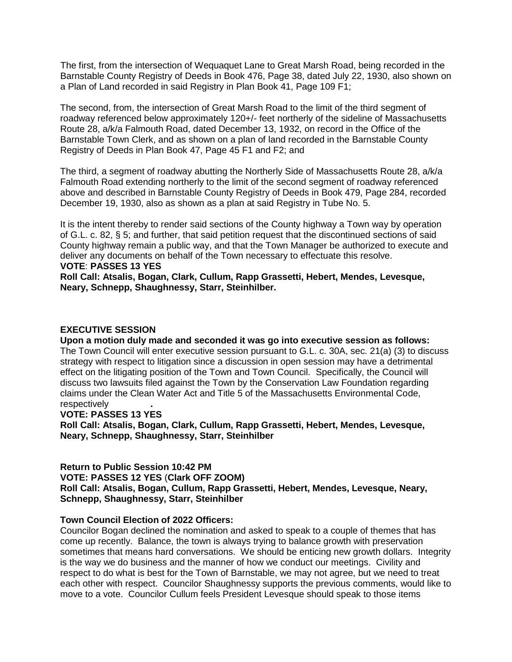The first, from the intersection of Wequaquet Lane to Great Marsh Road, being recorded in the Barnstable County Registry of Deeds in Book 476, Page 38, dated July 22, 1930, also shown on a Plan of Land recorded in said Registry in Plan Book 41, Page 109 F1;

The second, from, the intersection of Great Marsh Road to the limit of the third segment of roadway referenced below approximately 120+/- feet northerly of the sideline of Massachusetts Route 28, a/k/a Falmouth Road, dated December 13, 1932, on record in the Office of the Barnstable Town Clerk, and as shown on a plan of land recorded in the Barnstable County Registry of Deeds in Plan Book 47, Page 45 F1 and F2; and

The third, a segment of roadway abutting the Northerly Side of Massachusetts Route 28, a/k/a Falmouth Road extending northerly to the limit of the second segment of roadway referenced above and described in Barnstable County Registry of Deeds in Book 479, Page 284, recorded December 19, 1930, also as shown as a plan at said Registry in Tube No. 5.

It is the intent thereby to render said sections of the County highway a Town way by operation of G.L. c. 82, § 5; and further, that said petition request that the discontinued sections of said County highway remain a public way, and that the Town Manager be authorized to execute and deliver any documents on behalf of the Town necessary to effectuate this resolve.

# **VOTE**: **PASSES 13 YES**

**Roll Call: Atsalis, Bogan, Clark, Cullum, Rapp Grassetti, Hebert, Mendes, Levesque, Neary, Schnepp, Shaughnessy, Starr, Steinhilber.**

### **EXECUTIVE SESSION**

**Upon a motion duly made and seconded it was go into executive session as follows:** The Town Council will enter executive session pursuant to G.L. c. 30A, sec. 21(a) (3) to discuss strategy with respect to litigation since a discussion in open session may have a detrimental effect on the litigating position of the Town and Town Council. Specifically, the Council will discuss two lawsuits filed against the Town by the Conservation Law Foundation regarding claims under the Clean Water Act and Title 5 of the Massachusetts Environmental Code, respectively **.** 

### **VOTE: PASSES 13 YES**

**Roll Call: Atsalis, Bogan, Clark, Cullum, Rapp Grassetti, Hebert, Mendes, Levesque, Neary, Schnepp, Shaughnessy, Starr, Steinhilber**

### **Return to Public Session 10:42 PM**

**VOTE: PASSES 12 YES** (**Clark OFF ZOOM)**

**Roll Call: Atsalis, Bogan, Cullum, Rapp Grassetti, Hebert, Mendes, Levesque, Neary, Schnepp, Shaughnessy, Starr, Steinhilber**

### **Town Council Election of 2022 Officers:**

Councilor Bogan declined the nomination and asked to speak to a couple of themes that has come up recently. Balance, the town is always trying to balance growth with preservation sometimes that means hard conversations. We should be enticing new growth dollars. Integrity is the way we do business and the manner of how we conduct our meetings. Civility and respect to do what is best for the Town of Barnstable, we may not agree, but we need to treat each other with respect. Councilor Shaughnessy supports the previous comments, would like to move to a vote. Councilor Cullum feels President Levesque should speak to those items